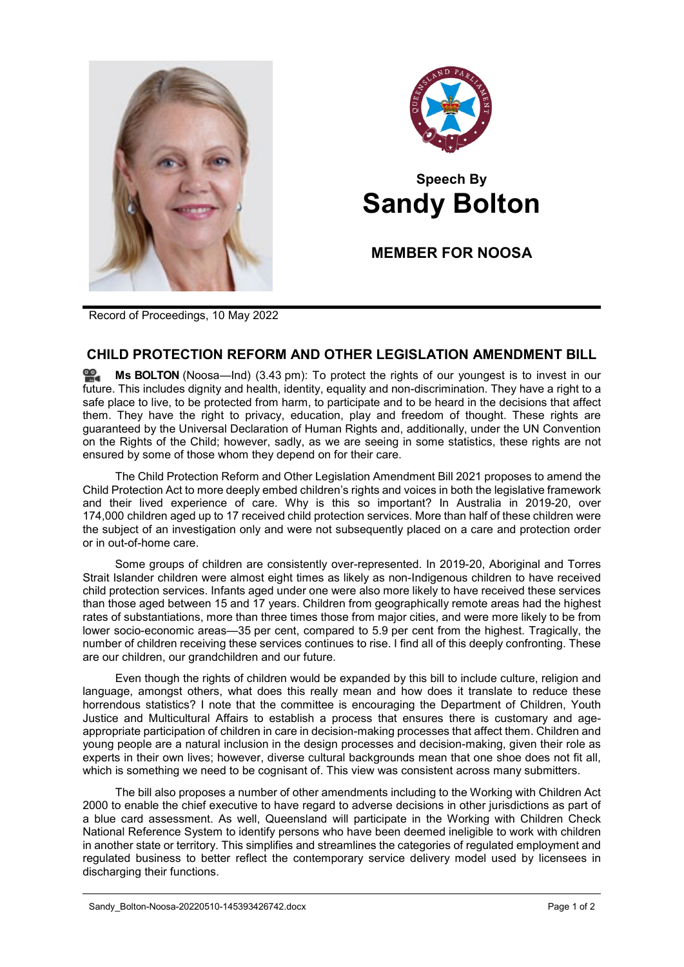



## **Speech By Sandy Bolton**

**MEMBER FOR NOOSA**

Record of Proceedings, 10 May 2022

## **CHILD PROTECTION REFORM AND OTHER LEGISLATION AMENDMENT BILL**

**Ms [BOLTON](http://www.parliament.qld.gov.au/docs/find.aspx?id=0Mba20220510_154347)** (Noosa—Ind) (3.43 pm): To protect the rights of our youngest is to invest in our future. This includes dignity and health, identity, equality and non-discrimination. They have a right to a safe place to live, to be protected from harm, to participate and to be heard in the decisions that affect them. They have the right to privacy, education, play and freedom of thought. These rights are guaranteed by the Universal Declaration of Human Rights and, additionally, under the UN Convention on the Rights of the Child; however, sadly, as we are seeing in some statistics, these rights are not ensured by some of those whom they depend on for their care.

The Child Protection Reform and Other Legislation Amendment Bill 2021 proposes to amend the Child Protection Act to more deeply embed children's rights and voices in both the legislative framework and their lived experience of care. Why is this so important? In Australia in 2019-20, over 174,000 children aged up to 17 received child protection services. More than half of these children were the subject of an investigation only and were not subsequently placed on a care and protection order or in out-of-home care.

Some groups of children are consistently over-represented. In 2019-20, Aboriginal and Torres Strait Islander children were almost eight times as likely as non-Indigenous children to have received child protection services. Infants aged under one were also more likely to have received these services than those aged between 15 and 17 years. Children from geographically remote areas had the highest rates of substantiations, more than three times those from major cities, and were more likely to be from lower socio-economic areas—35 per cent, compared to 5.9 per cent from the highest. Tragically, the number of children receiving these services continues to rise. I find all of this deeply confronting. These are our children, our grandchildren and our future.

Even though the rights of children would be expanded by this bill to include culture, religion and language, amongst others, what does this really mean and how does it translate to reduce these horrendous statistics? I note that the committee is encouraging the Department of Children, Youth Justice and Multicultural Affairs to establish a process that ensures there is customary and ageappropriate participation of children in care in decision-making processes that affect them. Children and young people are a natural inclusion in the design processes and decision-making, given their role as experts in their own lives; however, diverse cultural backgrounds mean that one shoe does not fit all, which is something we need to be cognisant of. This view was consistent across many submitters.

The bill also proposes a number of other amendments including to the Working with Children Act 2000 to enable the chief executive to have regard to adverse decisions in other jurisdictions as part of a blue card assessment. As well, Queensland will participate in the Working with Children Check National Reference System to identify persons who have been deemed ineligible to work with children in another state or territory. This simplifies and streamlines the categories of regulated employment and regulated business to better reflect the contemporary service delivery model used by licensees in discharging their functions.